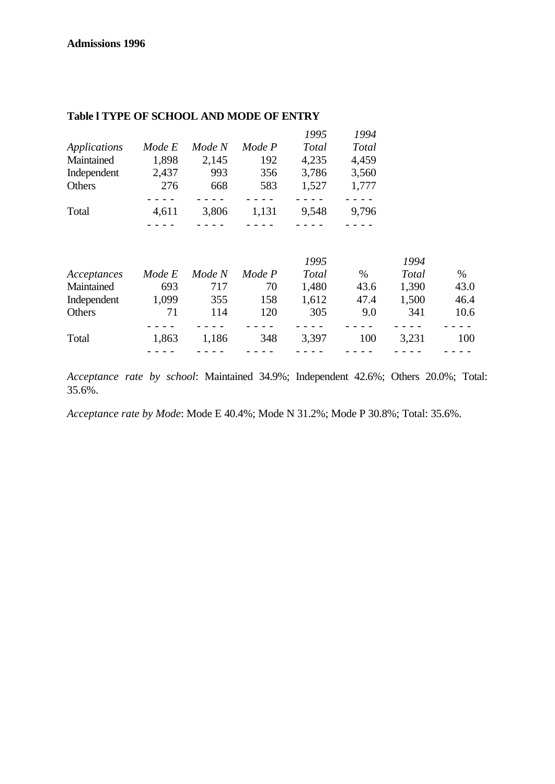|              |        |        |        | 1995  | 1994         |
|--------------|--------|--------|--------|-------|--------------|
| Applications | Mode E | Mode N | Mode P | Total | <b>Total</b> |
| Maintained   | 1,898  | 2,145  | 192    | 4,235 | 4,459        |
| Independent  | 2,437  | 993    | 356    | 3,786 | 3,560        |
| Others       | 276    | 668    | 583    | 1,527 | 1,777        |
|              |        |        |        |       |              |
| Total        | 4,611  | 3,806  | 1,131  | 9,548 | 9,796        |
|              |        |        |        |       |              |

## **Table l TYPE OF SCHOOL AND MODE OF ENTRY**

|             |        |        |        | 1995  |      | 1994  |      |
|-------------|--------|--------|--------|-------|------|-------|------|
| Acceptances | Mode E | Mode N | Mode P | Total | $\%$ | Total | $\%$ |
| Maintained  | 693    | 717    | 70     | 1,480 | 43.6 | 1,390 | 43.0 |
| Independent | 1,099  | 355    | 158    | 1,612 | 47.4 | 1,500 | 46.4 |
| Others      | 71     | 114    | 120    | 305   | 9.0  | 341   | 10.6 |
|             |        |        |        |       |      |       |      |
| Total       | 1,863  | 1,186  | 348    | 3,397 | 100  | 3,231 | 100  |
|             |        |        |        |       |      |       |      |

*Acceptance rate by school*: Maintained 34.9%; Independent 42.6%; Others 20.0%; Total: 35.6%.

*Acceptance rate by Mode*: Mode E 40.4%; Mode N 31.2%; Mode P 30.8%; Total: 35.6%.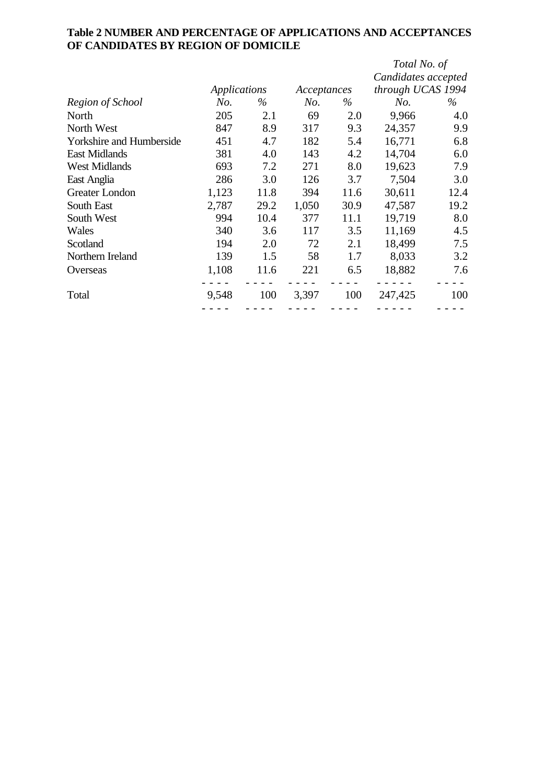# **Table 2 NUMBER AND PERCENTAGE OF APPLICATIONS AND ACCEPTANCES OF CANDIDATES BY REGION OF DOMICILE**

|                                 |              |      |             |      | Total No. of        |      |
|---------------------------------|--------------|------|-------------|------|---------------------|------|
|                                 |              |      |             |      | Candidates accepted |      |
|                                 | Applications |      | Acceptances |      | through UCAS 1994   |      |
| Region of School                | No.          | $\%$ | No.         | $\%$ | No.                 | $\%$ |
| North                           | 205          | 2.1  | 69          | 2.0  | 9,966               | 4.0  |
| North West                      | 847          | 8.9  | 317         | 9.3  | 24,357              | 9.9  |
| <b>Yorkshire and Humberside</b> | 451          | 4.7  | 182         | 5.4  | 16,771              | 6.8  |
| <b>East Midlands</b>            | 381          | 4.0  | 143         | 4.2  | 14,704              | 6.0  |
| <b>West Midlands</b>            | 693          | 7.2  | 271         | 8.0  | 19,623              | 7.9  |
| East Anglia                     | 286          | 3.0  | 126         | 3.7  | 7,504               | 3.0  |
| Greater London                  | 1,123        | 11.8 | 394         | 11.6 | 30,611              | 12.4 |
| South East                      | 2,787        | 29.2 | 1,050       | 30.9 | 47,587              | 19.2 |
| South West                      | 994          | 10.4 | 377         | 11.1 | 19,719              | 8.0  |
| Wales                           | 340          | 3.6  | 117         | 3.5  | 11,169              | 4.5  |
| Scotland                        | 194          | 2.0  | 72          | 2.1  | 18,499              | 7.5  |
| Northern Ireland                | 139          | 1.5  | 58          | 1.7  | 8,033               | 3.2  |
| Overseas                        | 1,108        | 11.6 | 221         | 6.5  | 18,882              | 7.6  |
| Total                           | 9,548        | 100  | 3,397       | 100  | 247,425             | 100  |
|                                 |              |      |             |      |                     |      |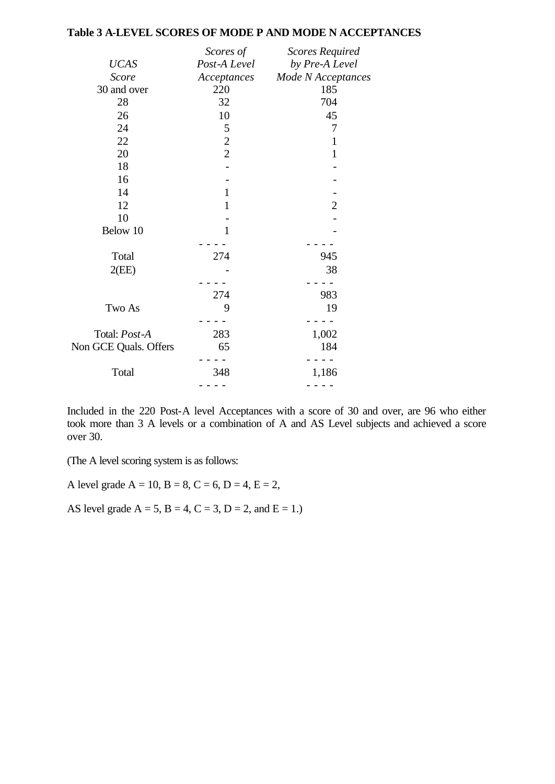## **Table 3 A-LEVEL SCORES OF MODE P AND MODE N ACCEPTANCES**

|                       | Scores of      | <b>Scores Required</b> |
|-----------------------|----------------|------------------------|
| <b>UCAS</b>           | Post-A Level   | by Pre-A Level         |
| <b>Score</b>          | Acceptances    | Mode N Acceptances     |
| 30 and over           | 220            | 185                    |
| 28                    | 32             | 704                    |
| 26                    | 10             | 45                     |
| 24                    | 5              | 7                      |
| 22                    | $\overline{c}$ | $\mathbf{1}$           |
| 20                    | $\overline{2}$ | $\mathbf{1}$           |
| 18                    |                |                        |
| 16                    |                |                        |
| 14                    | $\mathbf{1}$   |                        |
| 12                    | $\mathbf{1}$   | $\overline{2}$         |
| 10                    |                |                        |
| Below 10              | $\mathbf{1}$   |                        |
|                       |                |                        |
| Total                 | 274            | 945                    |
| 2(EE)                 |                | 38                     |
|                       |                |                        |
|                       | 274            | 983                    |
| Two As                | 9              | 19                     |
|                       |                |                        |
| Total: Post-A         | 283            | 1,002                  |
| Non GCE Quals. Offers | 65             | 184                    |
|                       |                |                        |
| Total                 | 348            | 1,186                  |
|                       |                |                        |

Included in the 220 Post-A level Acceptances with a score of 30 and over, are 96 who either took more than 3 A levels or a combination of A and AS Level subjects and achieved a score over 30.

(The A level scoring system is as follows:

A level grade  $A = 10$ ,  $B = 8$ ,  $C = 6$ ,  $D = 4$ ,  $E = 2$ ,

AS level grade  $A = 5$ ,  $B = 4$ ,  $C = 3$ ,  $D = 2$ , and  $E = 1$ .)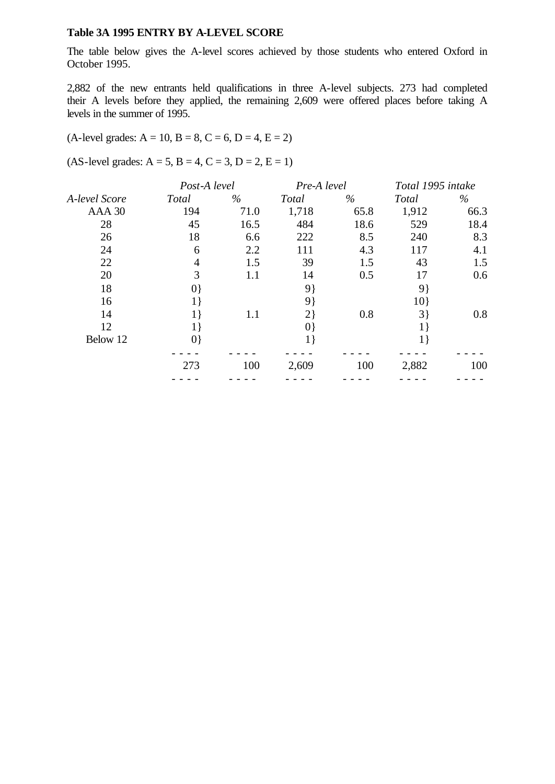#### **Table 3A 1995 ENTRY BY A-LEVEL SCORE**

The table below gives the A-level scores achieved by those students who entered Oxford in October 1995.

2,882 of the new entrants held qualifications in three A-level subjects. 273 had completed their A levels before they applied, the remaining 2,609 were offered places before taking A levels in the summer of 1995.

### $(A$ -level grades:  $A = 10$ ,  $B = 8$ ,  $C = 6$ ,  $D = 4$ ,  $E = 2$ )

 $(AS-level grades: A = 5, B = 4, C = 3, D = 2, E = 1)$ 

|               | Post-A level |         | Pre-A level  |      | Total 1995 intake |      |
|---------------|--------------|---------|--------------|------|-------------------|------|
| A-level Score | <b>Total</b> | $\%$    | <b>Total</b> | $\%$ | Total             | $\%$ |
| $AAA$ 30      | 194          | 71.0    | 1,718        | 65.8 | 1,912             | 66.3 |
| 28            | 45           | 16.5    | 484          | 18.6 | 529               | 18.4 |
| 26            | 18           | 6.6     | 222          | 8.5  | 240               | 8.3  |
| 24            | 6            | 2.2     | 111          | 4.3  | 117               | 4.1  |
| 22            | 4            | 1.5     | 39           | 1.5  | 43                | 1.5  |
| 20            | 3            | $1.1\,$ | 14           | 0.5  | 17                | 0.6  |
| 18            | $ 0\rangle$  |         | 9}           |      | 9                 |      |
| 16            | 1 }          |         | 9}           |      | 10                |      |
| 14            | $1\}$        | 1.1     | 2            | 0.8  | 3                 | 0.8  |
| 12            | $1\}$        |         | $ 0\rangle$  |      |                   |      |
| Below 12      | $ 0\rangle$  |         |              |      |                   |      |
|               |              |         |              |      |                   |      |
|               | 273          | 100     | 2,609        | 100  | 2,882             | 100  |
|               |              |         |              |      |                   |      |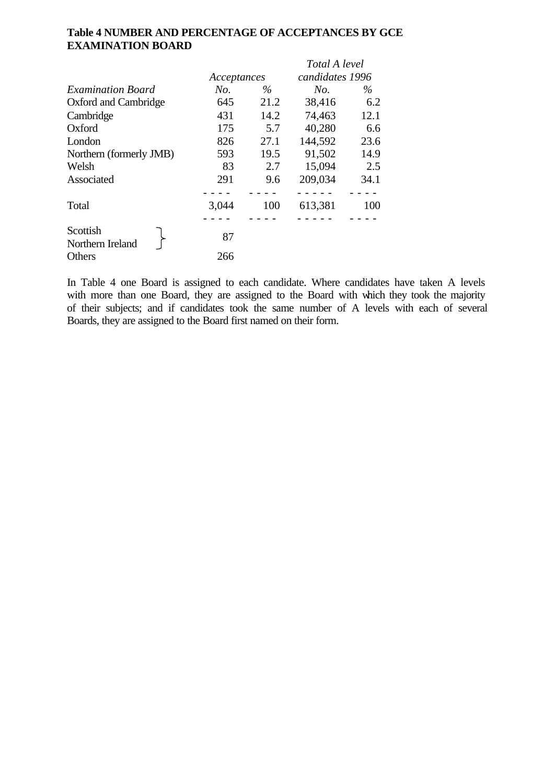# **Table 4 NUMBER AND PERCENTAGE OF ACCEPTANCES BY GCE EXAMINATION BOARD**

|                              |             |      | Total A level   |      |  |
|------------------------------|-------------|------|-----------------|------|--|
|                              | Acceptances |      | candidates 1996 |      |  |
| <b>Examination Board</b>     | No.         | $\%$ | No.             | $\%$ |  |
| Oxford and Cambridge         | 645         | 21.2 | 38,416          | 6.2  |  |
| Cambridge                    | 431         | 14.2 | 74,463          | 12.1 |  |
| Oxford                       | 175         | 5.7  | 40,280          | 6.6  |  |
| London                       | 826         | 27.1 | 144,592         | 23.6 |  |
| Northern (formerly JMB)      | 593         | 19.5 | 91,502          | 14.9 |  |
| Welsh                        | 83          | 2.7  | 15,094          | 2.5  |  |
| Associated                   | 291         | 9.6  | 209,034         | 34.1 |  |
| Total                        | 3,044       | 100  | 613,381         | 100  |  |
| Scottish<br>Northern Ireland | 87          |      |                 |      |  |
| Others                       | 266         |      |                 |      |  |

In Table 4 one Board is assigned to each candidate. Where candidates have taken A levels with more than one Board, they are assigned to the Board with which they took the majority of their subjects; and if candidates took the same number of A levels with each of several Boards, they are assigned to the Board first named on their form.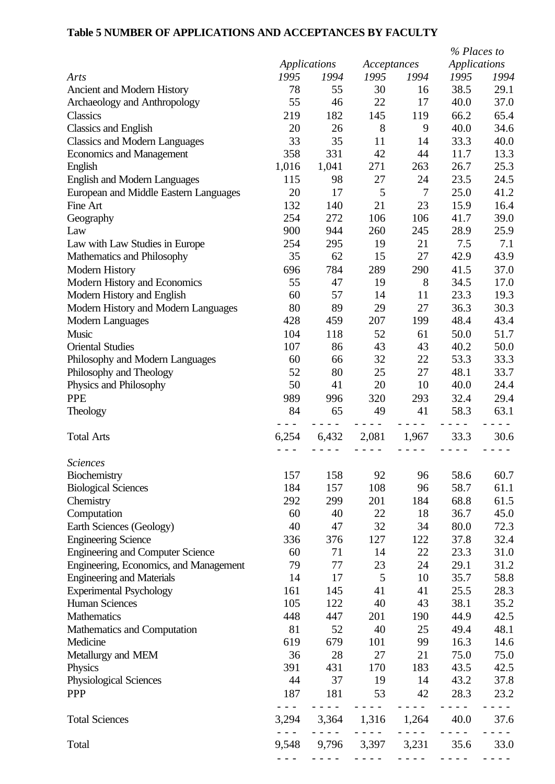## **Table 5 NUMBER OF APPLICATIONS AND ACCEPTANCES BY FACULTY**

|                                         |                      |               |                            |                      | % Places to                                                                                                                                          |        |
|-----------------------------------------|----------------------|---------------|----------------------------|----------------------|------------------------------------------------------------------------------------------------------------------------------------------------------|--------|
|                                         |                      | Applications  | Acceptances                |                      | <b>Applications</b>                                                                                                                                  |        |
| Arts                                    | 1995                 | 1994          | 1995                       | 1994                 | 1995                                                                                                                                                 | 1994   |
| Ancient and Modern History              | 78                   | 55            | 30                         | 16                   | 38.5                                                                                                                                                 | 29.1   |
| Archaeology and Anthropology            | 55                   | 46            | 22                         | 17                   | 40.0                                                                                                                                                 | 37.0   |
| Classics                                | 219                  | 182           | 145                        | 119                  | 66.2                                                                                                                                                 | 65.4   |
| <b>Classics and English</b>             | 20                   | 26            | 8                          | 9                    | 40.0                                                                                                                                                 | 34.6   |
| <b>Classics and Modern Languages</b>    | 33                   | 35            | 11                         | 14                   | 33.3                                                                                                                                                 | 40.0   |
| <b>Economics and Management</b>         | 358                  | 331           | 42                         | 44                   | 11.7                                                                                                                                                 | 13.3   |
| English                                 | 1,016                | 1,041         | 271                        | 263                  | 26.7                                                                                                                                                 | 25.3   |
| <b>English and Modern Languages</b>     | 115                  | 98            | 27                         | 24                   | 23.5                                                                                                                                                 | 24.5   |
| European and Middle Eastern Languages   | 20                   | 17            | 5                          | $\tau$               | 25.0                                                                                                                                                 | 41.2   |
| Fine Art                                | 132                  | 140           | 21                         | 23                   | 15.9                                                                                                                                                 | 16.4   |
| Geography                               | 254                  | 272           | 106                        | 106                  | 41.7                                                                                                                                                 | 39.0   |
| Law                                     | 900                  | 944           | 260                        | 245                  | 28.9                                                                                                                                                 | 25.9   |
| Law with Law Studies in Europe          | 254                  | 295           | 19                         | 21                   | 7.5                                                                                                                                                  | 7.1    |
| Mathematics and Philosophy              | 35                   | 62            | 15                         | 27                   | 42.9                                                                                                                                                 | 43.9   |
| Modern History                          | 696                  | 784           | 289                        | 290                  | 41.5                                                                                                                                                 | 37.0   |
| Modern History and Economics            | 55                   | 47            | 19                         | 8                    | 34.5                                                                                                                                                 | 17.0   |
| Modern History and English              | 60                   | 57            | 14                         | 11                   | 23.3                                                                                                                                                 | 19.3   |
| Modern History and Modern Languages     | 80                   | 89            | 29                         | 27                   | 36.3                                                                                                                                                 | 30.3   |
| <b>Modern Languages</b>                 | 428                  | 459           | 207                        | 199                  | 48.4                                                                                                                                                 | 43.4   |
| Music                                   | 104                  | 118           | 52                         | 61                   | 50.0                                                                                                                                                 | 51.7   |
| <b>Oriental Studies</b>                 | 107                  | 86            | 43                         | 43                   | 40.2                                                                                                                                                 | 50.0   |
| Philosophy and Modern Languages         | 60                   | 66            | 32                         | 22                   | 53.3                                                                                                                                                 | 33.3   |
| Philosophy and Theology                 | 52                   | 80            | 25                         | 27                   | 48.1                                                                                                                                                 | 33.7   |
| Physics and Philosophy                  | 50                   | 41            | 20                         | 10                   | 40.0                                                                                                                                                 | 24.4   |
| <b>PPE</b>                              | 989                  | 996           | 320                        | 293                  | 32.4                                                                                                                                                 | 29.4   |
| Theology                                | 84                   | 65            | 49                         | 41                   | 58.3                                                                                                                                                 | 63.1   |
|                                         |                      |               |                            |                      | $\frac{1}{2} \left( \frac{1}{2} \right) \left( \frac{1}{2} \right) \left( \frac{1}{2} \right) \left( \frac{1}{2} \right) \left( \frac{1}{2} \right)$ |        |
|                                         |                      |               |                            |                      |                                                                                                                                                      |        |
|                                         |                      |               |                            |                      |                                                                                                                                                      |        |
| <b>Total Arts</b>                       | 6,254                | 6,432         | 2,081                      | 1,967                | 33.3                                                                                                                                                 | 30.6   |
|                                         |                      |               |                            |                      |                                                                                                                                                      |        |
| <b>Sciences</b>                         |                      |               |                            |                      |                                                                                                                                                      |        |
| Biochemistry                            | 157                  | 158           | 92                         | 96                   | 58.6                                                                                                                                                 | 60.7   |
| <b>Biological Sciences</b>              | 184                  | 157           | 108                        | 96                   | 58.7                                                                                                                                                 | 61.1   |
| Chemistry                               | 292                  | 299           | 201                        | 184                  | 68.8                                                                                                                                                 | 61.5   |
| Computation                             | 60                   | 40            | 22                         | 18                   | 36.7                                                                                                                                                 | 45.0   |
| Earth Sciences (Geology)                | 40                   | 47            | 32                         | 34                   | 80.0                                                                                                                                                 | 72.3   |
| <b>Engineering Science</b>              | 336                  | 376           | 127                        | 122                  | 37.8                                                                                                                                                 | 32.4   |
| <b>Engineering and Computer Science</b> | 60                   | 71            | 14                         | 22                   | 23.3                                                                                                                                                 | 31.0   |
| Engineering, Economics, and Management  | 79                   | 77            | 23                         | 24                   | 29.1                                                                                                                                                 | 31.2   |
| <b>Engineering and Materials</b>        | 14                   | 17            | 5                          | 10                   | 35.7                                                                                                                                                 | 58.8   |
| <b>Experimental Psychology</b>          | 161                  | 145           | 41                         | 41                   | 25.5                                                                                                                                                 | 28.3   |
| <b>Human Sciences</b>                   | 105                  | 122           | 40                         | 43                   | 38.1                                                                                                                                                 | 35.2   |
| Mathematics                             | 448                  | 447           | 201                        | 190                  | 44.9                                                                                                                                                 | 42.5   |
| Mathematics and Computation             | 81                   | 52            | 40                         | 25                   | 49.4                                                                                                                                                 | 48.1   |
| Medicine                                | 619                  | 679           | 101                        | 99                   | 16.3                                                                                                                                                 | 14.6   |
| Metallurgy and MEM                      | 36                   | 28            | 27                         | 21                   | 75.0                                                                                                                                                 | 75.0   |
| Physics                                 | 391                  | 431           | 170                        | 183                  | 43.5                                                                                                                                                 | 42.5   |
| Physiological Sciences                  | 44                   | 37            | 19                         | 14                   | 43.2                                                                                                                                                 | 37.8   |
| <b>PPP</b>                              | 187<br>$\sim$ $\sim$ | 181<br>$   -$ | 53<br>.                    | 42<br>$- - - -$      | 28.3<br>$\frac{1}{2} \left( \frac{1}{2} \right) = \frac{1}{2}$                                                                                       | 23.2   |
|                                         |                      |               |                            |                      |                                                                                                                                                      | $   -$ |
| <b>Total Sciences</b>                   | 3,294                |               | 3,364 1,316<br>$- - - - -$ | 1,264<br>$- - - - -$ | 40.0                                                                                                                                                 | 37.6   |
| Total                                   |                      |               | 9,548 9,796 3,397 3,231    |                      | 35.6                                                                                                                                                 | 33.0   |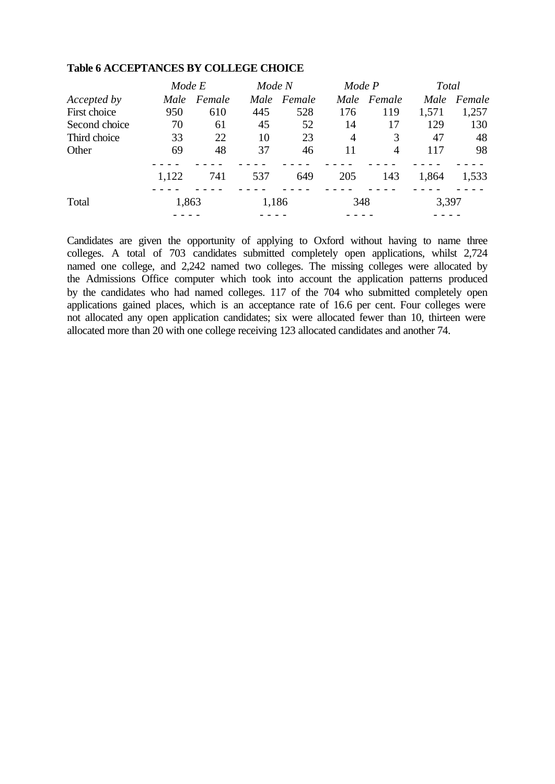|               | Mode E |        | Mode N |             | Mode P |        | Total |        |
|---------------|--------|--------|--------|-------------|--------|--------|-------|--------|
| Accepted by   | Male   | Female |        | Male Female | Male   | Female | Male  | Female |
| First choice  | 950    | 610    | 445    | 528         | 176    | 119    | 1,571 | 1,257  |
| Second choice | 70     | 61     | 45     | 52          | 14     | 17     | 129   | 130    |
| Third choice  | 33     | 22     | 10     | 23          | 4      | 3      | 47    | 48     |
| Other         | 69     | 48     | 37     | 46          | 11     | 4      | 117   | 98     |
|               | 1,122  | 741    | 537    | 649         | 205    | 143    | 1,864 | 1,533  |
| Total         | 1,863  |        | 1,186  |             | 348    |        | 3,397 |        |
|               |        |        |        |             |        |        |       |        |

#### **Table 6 ACCEPTANCES BY COLLEGE CHOICE**

Candidates are given the opportunity of applying to Oxford without having to name three colleges. A total of 703 candidates submitted completely open applications, whilst 2,724 named one college, and 2,242 named two colleges. The missing colleges were allocated by the Admissions Office computer which took into account the application patterns produced by the candidates who had named colleges. 117 of the 704 who submitted completely open applications gained places, which is an acceptance rate of 16.6 per cent. Four colleges were not allocated any open application candidates; six were allocated fewer than 10, thirteen were allocated more than 20 with one college receiving 123 allocated candidates and another 74.